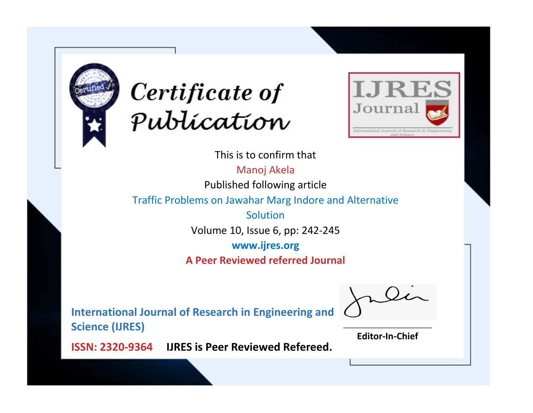



This is to confirm that

Manoj Akela

Published following article

Traffic Problems on Jawahar Marg Indore and Alternative

Solution Volume 10, Issue 6, pp: 242-245

**www.ijres.org**

**A Peer Reviewed referred Journal**

**International Journal of Research in Engineering and Science (IJRES)**

\_\_\_\_\_\_\_\_\_\_\_\_\_\_\_\_\_\_\_\_\_\_\_\_ **Editor-In-Chief**

**Journal.**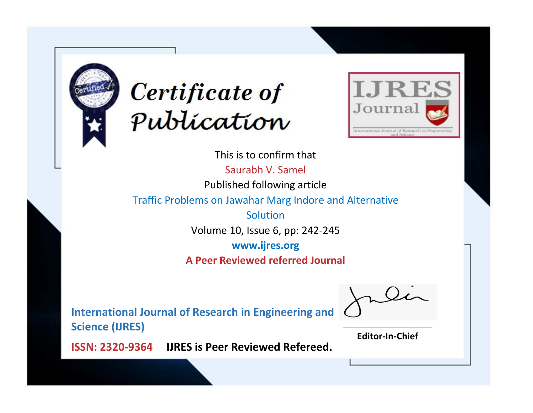



This is to confirm that Saurabh V. Samel Published following article Traffic Problems on Jawahar Marg Indore and Alternative Solution Volume 10, Issue 6, pp: 242-245 **www.ijres.org A Peer Reviewed referred Journal**

**International Journal of Research in Engineering and Science (IJRES)**

\_\_\_\_\_\_\_\_\_\_\_\_\_\_\_\_\_\_\_\_\_\_\_\_ **Editor-In-Chief**

**Journal.**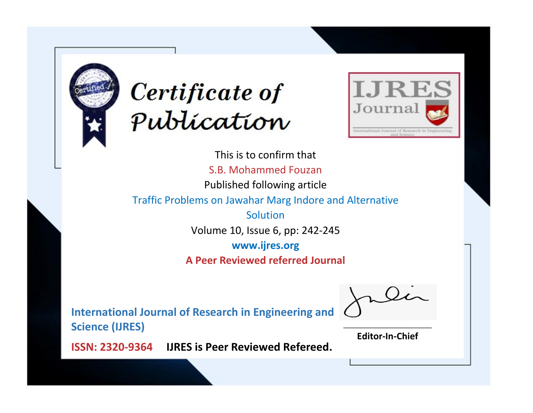



This is to confirm that S.B. Mohammed Fouzan Published following article Traffic Problems on Jawahar Marg Indore and Alternative Solution Volume 10, Issue 6, pp: 242-245 **www.ijres.org A Peer Reviewed referred Journal**

**International Journal of Research in Engineering and Science (IJRES)**

\_\_\_\_\_\_\_\_\_\_\_\_\_\_\_\_\_\_\_\_\_\_\_\_ **Editor-In-Chief**

**Journal.**